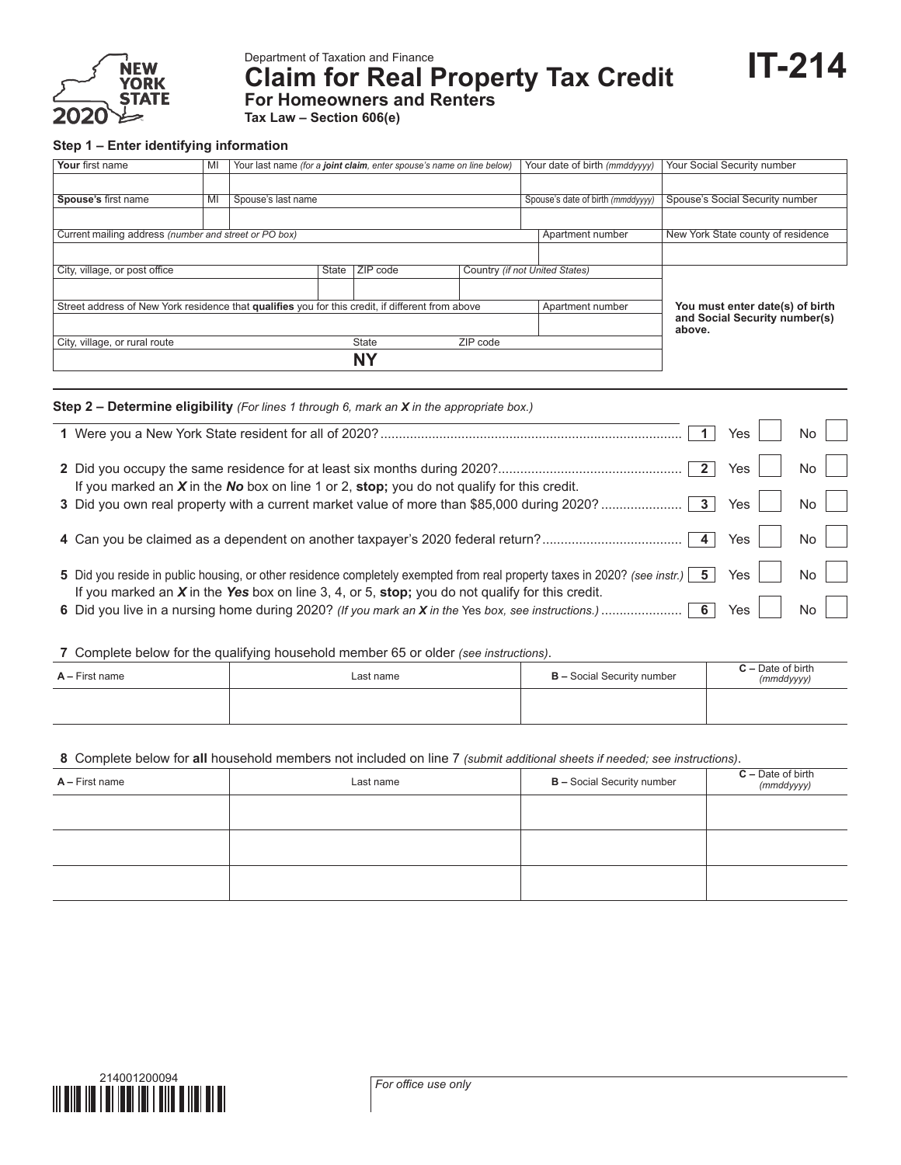

Department of Taxation and Finance

**Claim for Real Property Tax Credit**

**IT-214**

**For Homeowners and Renters Tax Law – Section 606(e)**

## **Step 1 – Enter identifying information**

| Your first name                                                                                  | MI | Your last name (for a joint claim, enter spouse's name on line below) |          |                   |                                |  | Your date of birth (mmddyyyy)     | Your Social Security number             |
|--------------------------------------------------------------------------------------------------|----|-----------------------------------------------------------------------|----------|-------------------|--------------------------------|--|-----------------------------------|-----------------------------------------|
|                                                                                                  |    |                                                                       |          |                   |                                |  |                                   |                                         |
| Spouse's first name                                                                              | MI | Spouse's last name                                                    |          |                   |                                |  | Spouse's date of birth (mmddyyyy) | Spouse's Social Security number         |
|                                                                                                  |    |                                                                       |          |                   |                                |  |                                   |                                         |
| Current mailing address (number and street or PO box)                                            |    |                                                                       |          |                   |                                |  | Apartment number                  | New York State county of residence      |
|                                                                                                  |    |                                                                       |          |                   |                                |  |                                   |                                         |
| City, village, or post office                                                                    |    | State                                                                 | ZIP code |                   | Country (if not United States) |  |                                   |                                         |
|                                                                                                  |    |                                                                       |          |                   |                                |  |                                   |                                         |
| Street address of New York residence that qualifies you for this credit, if different from above |    |                                                                       |          |                   |                                |  | Apartment number                  | You must enter date(s) of birth         |
|                                                                                                  |    |                                                                       |          |                   |                                |  |                                   | and Social Security number(s)<br>above. |
| City, village, or rural route                                                                    |    |                                                                       |          | State<br>ZIP code |                                |  |                                   |                                         |
|                                                                                                  |    |                                                                       |          | NΥ                |                                |  |                                   |                                         |

| <b>Step 2 – Determine eligibility</b> (For lines 1 through 6, mark an <b>X</b> in the appropriate box.)                                                         |                |                                           |                |  |
|-----------------------------------------------------------------------------------------------------------------------------------------------------------------|----------------|-------------------------------------------|----------------|--|
|                                                                                                                                                                 | $\blacksquare$ | Yes i                                     | $\mathsf{No}$  |  |
|                                                                                                                                                                 |                |                                           | $\mathsf{No}$  |  |
| If you marked an $X$ in the No box on line 1 or 2, stop; you do not qualify for this credit.                                                                    |                | Yes                                       | $\mathsf{No}$  |  |
|                                                                                                                                                                 |                | $\lvert \gamma_{\text{es}} \rvert \rvert$ | $\mathsf{No}$  |  |
| 5 Did you reside in public housing, or other residence completely exempted from real property taxes in 2020? (see instr.) $\boxed{5}$ Yes $\boxed{\phantom{0}}$ |                |                                           | $\overline{N}$ |  |
| If you marked an $X$ in the Yes box on line 3, 4, or 5, stop; you do not qualify for this credit.                                                               |                | Yes                                       | $\mathsf{No}$  |  |
|                                                                                                                                                                 |                |                                           |                |  |

**7** Complete below for the qualifying household member 65 or older *(see instructions)*.

| $A -$ First name | Last name | <b>B</b> – Social Security number | $C -$ Date of birth<br>(mmddyyyy) |
|------------------|-----------|-----------------------------------|-----------------------------------|
|                  |           |                                   |                                   |

## **8** Complete below for **all** household members not included on line 7 *(submit additional sheets if needed; see instructions)*.

| $A - First name$ | Last name | <b>B</b> - Social Security number | $C -$ Date of birth ( <i>mmddyyyy</i> ) |  |  |
|------------------|-----------|-----------------------------------|-----------------------------------------|--|--|
|                  |           |                                   |                                         |  |  |
|                  |           |                                   |                                         |  |  |
|                  |           |                                   |                                         |  |  |
|                  |           |                                   |                                         |  |  |

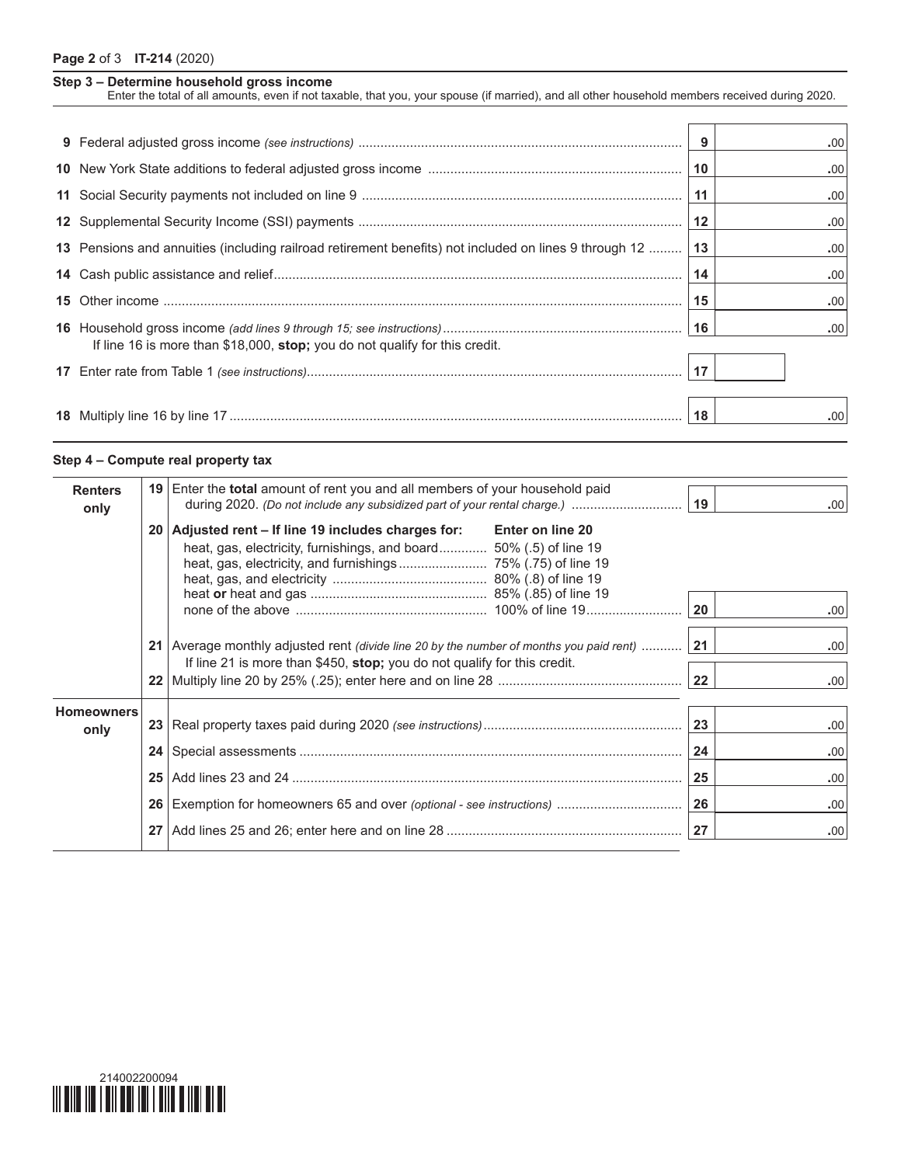## **Page 2** of 3 **IT-214** (2020)

|  | Step 3 - Determine household gross income |  |  |  |
|--|-------------------------------------------|--|--|--|
|--|-------------------------------------------|--|--|--|

Enter the total of all amounts, even if not taxable, that you, your spouse (if married), and all other household members received during 2020.

|                                                                                                       |      | .00.             |
|-------------------------------------------------------------------------------------------------------|------|------------------|
|                                                                                                       | 10   | .00              |
|                                                                                                       | 11   | .00              |
|                                                                                                       | $12$ | .00.             |
| 13 Pensions and annuities (including railroad retirement benefits) not included on lines 9 through 12 | 13   | .00              |
|                                                                                                       | 14   | .00.             |
|                                                                                                       | 15   | .00.             |
| If line 16 is more than \$18,000, stop; you do not qualify for this credit.                           | 16   | .00              |
|                                                                                                       | 17   |                  |
|                                                                                                       | 18   | .00 <sub>1</sub> |

## **Step 4 – Compute real property tax**

| <b>Renters</b><br>only    |                 | <b>19</b> Enter the <b>total</b> amount of rent you and all members of your household paid                                                   |                                                                                                                                                                           |                 | .00 <sub>1</sub>    |  |
|---------------------------|-----------------|----------------------------------------------------------------------------------------------------------------------------------------------|---------------------------------------------------------------------------------------------------------------------------------------------------------------------------|-----------------|---------------------|--|
|                           |                 | 20   Adjusted rent – If line 19 includes charges for: Enter on line 20<br>heat, gas, electricity, furnishings, and board 50% (.5) of line 19 |                                                                                                                                                                           |                 | .00 <sub>1</sub>    |  |
|                           |                 |                                                                                                                                              | 21   Average monthly adjusted rent (divide line 20 by the number of months you paid rent)  21<br>If line 21 is more than \$450, stop; you do not qualify for this credit. |                 |                     |  |
| <b>Homeowners</b><br>only |                 |                                                                                                                                              |                                                                                                                                                                           | 23 <br>24<br>25 | .00.<br>.00<br>.00. |  |
|                           | 27 <sub>1</sub> |                                                                                                                                              |                                                                                                                                                                           |                 | .00.<br>.00.        |  |